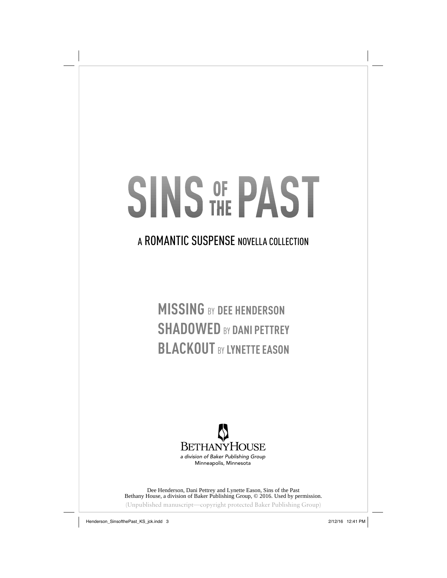# SINS OF PAST

## A ROMANTIC SUSPENSE NOVELLA COLLECTION

**MISSING** BY **DEE HENDERSON SHADOWED** BY **DANI PETTREY BLACKOUT** BY**LYNETTE EASON**

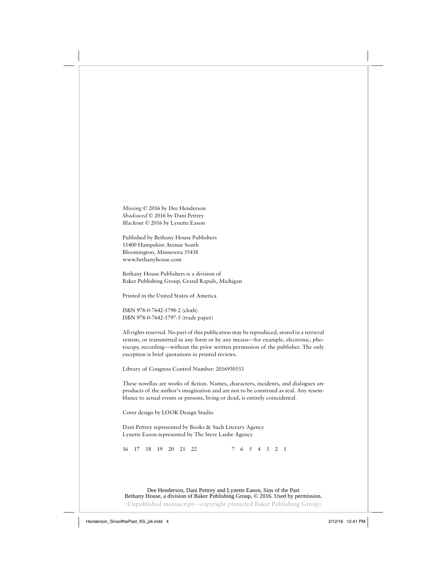*Missing* © 2016 by Dee Henderson *Shadowed* © 2016 by Dani Pettrey *Blackout* © 2016 by Lynette Eason

Published by Bethany House Publishers 11400 Hampshire Avenue South Bloomington, Minnesota 55438 www.bethanyhouse.com

Bethany House Publishers is a division of Baker Publishing Group, Grand Rapids, Michigan

Printed in the United States of America

ISBN 978-0-7642-1798-2 (cloth) ISBN 978-0-7642-1797-5 (trade paper)

All rights reserved. No part of this publication may be reproduced, stored in a retrieval system, or transmitted in any form or by any means—for example, electronic, photocopy, recording—without the prior written permission of the publisher. The only exception is brief quotations in printed reviews.

Library of Congress Control Number: 2016930533

These novellas are works of fiction. Names, characters, incidents, and dialogues are products of the author's imagination and are not to be construed as real. Any resemblance to actual events or persons, living or dead, is entirely coincidental.

Cover design by LOOK Design Studio

Dani Pettrey represented by Books & Such Literary Agency Lynette Eason represented by The Steve Laube Agency

16 17 18 19 20 21 22 7 6 5 4 3 2 1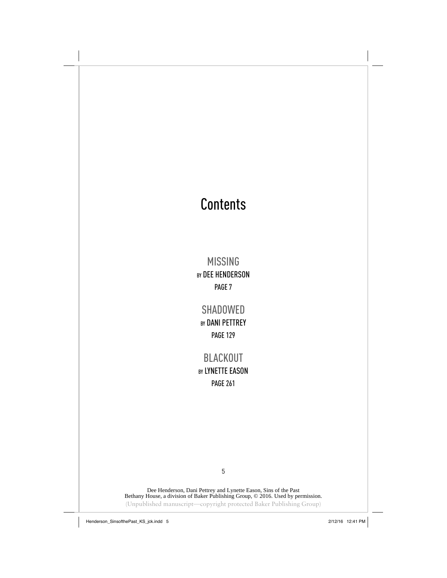## **Contents**

## MISSING BY DEE HENDERSON PAGE 7

### **SHADOWED** BY DANI PETTREY PAGE 129

## BLACKOUT BY LYNETTE EASON PAGE 261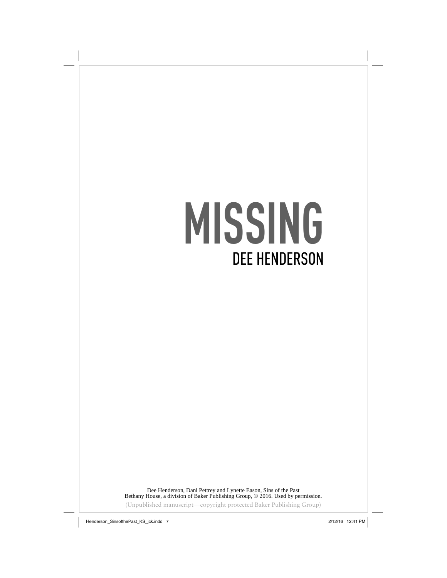## **MISSING** DEE HENDERSON

Dee Henderson, Dani Pettrey and Lynette Eason, Sins of the Past Bethany House, a division of Baker Publishing Group, © 2016. Used by permission.

(Unpublished manuscript—copyright protected Baker Publishing Group)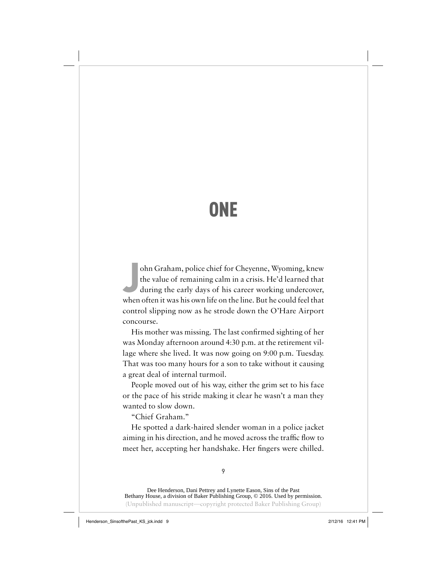## ONE

J ohn Graham, police chief for Cheyenne, Wyoming, knew the value of remaining calm in a crisis. He'd learned that during the early days of his career working undercover, when often it was his own life on the line. But he could feel that control slipping now as he strode down the O'Hare Airport concourse.

His mother was missing. The last confirmed sighting of her was Monday afternoon around 4:30 p.m. at the retirement village where she lived. It was now going on 9:00 p.m. Tuesday. That was too many hours for a son to take without it causing a great deal of internal turmoil.

People moved out of his way, either the grim set to his face or the pace of his stride making it clear he wasn't a man they wanted to slow down.

"Chief Graham."

He spotted a dark-haired slender woman in a police jacket aiming in his direction, and he moved across the traffic flow to meet her, accepting her handshake. Her fingers were chilled.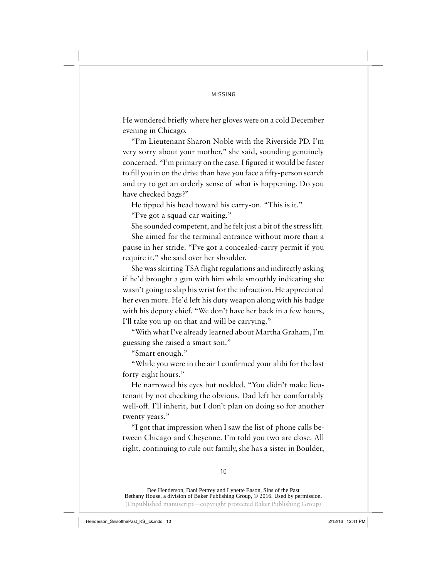He wondered briefly where her gloves were on a cold December evening in Chicago.

"I'm Lieutenant Sharon Noble with the Riverside PD. I'm very sorry about your mother," she said, sounding genuinely concerned. "I'm primary on the case. I figured it would be faster to fill you in on the drive than have you face a fifty-person search and try to get an orderly sense of what is happening. Do you have checked bags?"

He tipped his head toward his carry-on. "This is it."

"I've got a squad car waiting."

She sounded competent, and he felt just a bit of the stress lift.

She aimed for the terminal entrance without more than a pause in her stride. "I've got a concealed-carry permit if you require it," she said over her shoulder.

She was skirting TSA flight regulations and indirectly asking if he'd brought a gun with him while smoothly indicating she wasn't going to slap his wrist for the infraction. He appreciated her even more. He'd left his duty weapon along with his badge with his deputy chief. "We don't have her back in a few hours, I'll take you up on that and will be carrying."

"With what I've already learned about Martha Graham, I'm guessing she raised a smart son."

"Smart enough."

"While you were in the air I confirmed your alibi for the last forty-eight hours."

He narrowed his eyes but nodded. "You didn't make lieutenant by not checking the obvious. Dad left her comfortably well-off. I'll inherit, but I don't plan on doing so for another twenty years."

"I got that impression when I saw the list of phone calls between Chicago and Cheyenne. I'm told you two are close. All right, continuing to rule out family, she has a sister in Boulder,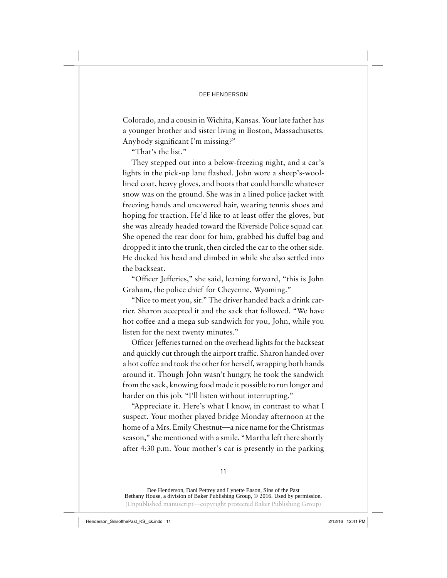Colorado, and a cousin in Wichita, Kansas. Your late father has a younger brother and sister living in Boston, Massachusetts. Anybody significant I'm missing?"

"That's the list."

They stepped out into a below-freezing night, and a car's lights in the pick-up lane flashed. John wore a sheep's-woollined coat, heavy gloves, and boots that could handle whatever snow was on the ground. She was in a lined police jacket with freezing hands and uncovered hair, wearing tennis shoes and hoping for traction. He'd like to at least offer the gloves, but she was already headed toward the Riverside Police squad car. She opened the rear door for him, grabbed his duffel bag and dropped it into the trunk, then circled the car to the other side. He ducked his head and climbed in while she also settled into the backseat.

"Officer Jefferies," she said, leaning forward, "this is John Graham, the police chief for Cheyenne, Wyoming."

"Nice to meet you, sir." The driver handed back a drink carrier. Sharon accepted it and the sack that followed. "We have hot coffee and a mega sub sandwich for you, John, while you listen for the next twenty minutes."

Officer Jefferies turned on the overhead lights for the backseat and quickly cut through the airport traffic. Sharon handed over a hot coffee and took the other for herself, wrapping both hands around it. Though John wasn't hungry, he took the sandwich from the sack, knowing food made it possible to run longer and harder on this job. "I'll listen without interrupting."

"Appreciate it. Here's what I know, in contrast to what I suspect. Your mother played bridge Monday afternoon at the home of a Mrs. Emily Chestnut—a nice name for the Christmas season," she mentioned with a smile. "Martha left there shortly after 4:30 p.m. Your mother's car is presently in the parking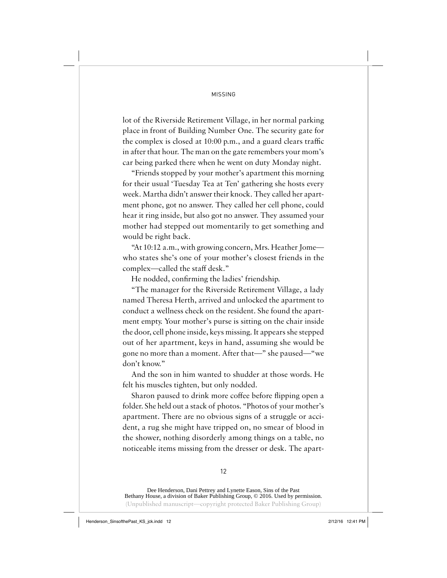lot of the Riverside Retirement Village, in her normal parking place in front of Building Number One. The security gate for the complex is closed at  $10:00$  p.m., and a guard clears traffic in after that hour. The man on the gate remembers your mom's car being parked there when he went on duty Monday night.

"Friends stopped by your mother's apartment this morning for their usual 'Tuesday Tea at Ten' gathering she hosts every week. Martha didn't answer their knock. They called her apartment phone, got no answer. They called her cell phone, could hear it ring inside, but also got no answer. They assumed your mother had stepped out momentarily to get something and would be right back.

"At 10:12 a.m., with growing concern, Mrs. Heather Jome who states she's one of your mother's closest friends in the complex—called the staff desk."

He nodded, confirming the ladies' friendship.

"The manager for the Riverside Retirement Village, a lady named Theresa Herth, arrived and unlocked the apartment to conduct a wellness check on the resident. She found the apartment empty. Your mother's purse is sitting on the chair inside the door, cell phone inside, keys missing. It appears she stepped out of her apartment, keys in hand, assuming she would be gone no more than a moment. After that—" she paused—"we don't know."

And the son in him wanted to shudder at those words. He felt his muscles tighten, but only nodded.

Sharon paused to drink more coffee before flipping open a folder. She held out a stack of photos. "Photos of your mother's apartment. There are no obvious signs of a struggle or accident, a rug she might have tripped on, no smear of blood in the shower, nothing disorderly among things on a table, no noticeable items missing from the dresser or desk. The apart-

12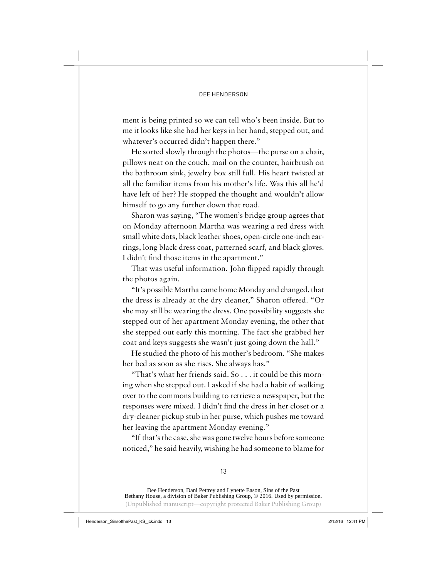ment is being printed so we can tell who's been inside. But to me it looks like she had her keys in her hand, stepped out, and whatever's occurred didn't happen there."

He sorted slowly through the photos—the purse on a chair, pillows neat on the couch, mail on the counter, hairbrush on the bathroom sink, jewelry box still full. His heart twisted at all the familiar items from his mother's life. Was this all he'd have left of her? He stopped the thought and wouldn't allow himself to go any further down that road.

Sharon was saying, "The women's bridge group agrees that on Monday afternoon Martha was wearing a red dress with small white dots, black leather shoes, open-circle one-inch earrings, long black dress coat, patterned scarf, and black gloves. I didn't find those items in the apartment."

That was useful information. John flipped rapidly through the photos again.

"It's possible Martha came home Monday and changed, that the dress is already at the dry cleaner," Sharon offered. "Or she may still be wearing the dress. One possibility suggests she stepped out of her apartment Monday evening, the other that she stepped out early this morning. The fact she grabbed her coat and keys suggests she wasn't just going down the hall."

He studied the photo of his mother's bedroom. "She makes her bed as soon as she rises. She always has."

"That's what her friends said. So . . . it could be this morning when she stepped out. I asked if she had a habit of walking over to the commons building to retrieve a newspaper, but the responses were mixed. I didn't find the dress in her closet or a dry-cleaner pickup stub in her purse, which pushes me toward her leaving the apartment Monday evening."

"If that's the case, she was gone twelve hours before someone noticed," he said heavily, wishing he had someone to blame for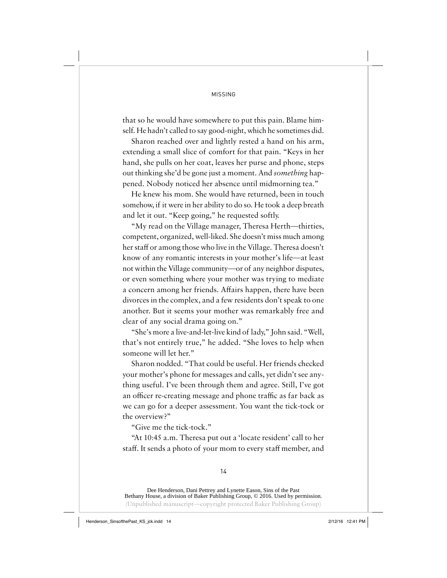that so he would have somewhere to put this pain. Blame himself. He hadn't called to say good-night, which he sometimes did.

Sharon reached over and lightly rested a hand on his arm, extending a small slice of comfort for that pain. "Keys in her hand, she pulls on her coat, leaves her purse and phone, steps out thinking she'd be gone just a moment. And *something* happened. Nobody noticed her absence until midmorning tea."

He knew his mom. She would have returned, been in touch somehow, if it were in her ability to do so. He took a deep breath and let it out. "Keep going," he requested softly.

"My read on the Village manager, Theresa Herth—thirties, competent, organized, well-liked. She doesn't miss much among her staff or among those who live in the Village. Theresa doesn't know of any romantic interests in your mother's life—at least not within the Village community—or of any neighbor disputes, or even something where your mother was trying to mediate a concern among her friends. Affairs happen, there have been divorces in the complex, and a few residents don't speak to one another. But it seems your mother was remarkably free and clear of any social drama going on."

"She's more a live-and-let-live kind of lady," John said. "Well, that's not entirely true," he added. "She loves to help when someone will let her."

Sharon nodded. "That could be useful. Her friends checked your mother's phone for messages and calls, yet didn't see anything useful. I've been through them and agree. Still, I've got an officer re-creating message and phone traffic as far back as we can go for a deeper assessment. You want the tick-tock or the overview?"

"Give me the tick-tock."

"At 10:45 a.m. Theresa put out a 'locate resident' call to her staff. It sends a photo of your mom to every staff member, and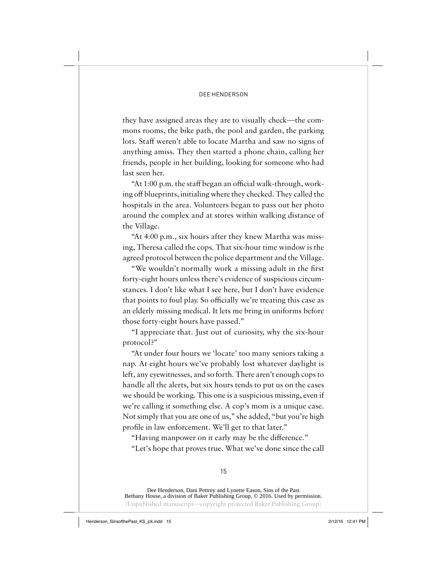#### DEE HENDERSON

they have assigned areas they are to visually check—the commons rooms, the bike path, the pool and garden, the parking lots. Staff weren't able to locate Martha and saw no signs of anything amiss. They then started a phone chain, calling her friends, people in her building, looking for someone who had last seen her.

"At  $1:00$  p.m. the staff began an official walk-through, working off blueprints, initialing where they checked. They called the hospitals in the area. Volunteers began to pass out her photo around the complex and at stores within walking distance of the Village.

"At 4:00 p.m., six hours after they knew Martha was missing, Theresa called the cops. That six-hour time window is the agreed protocol between the police department and the Village.

"We wouldn't normally work a missing adult in the first forty-eight hours unless there's evidence of suspicious circumstances. I don't like what I see here, but I don't have evidence that points to foul play. So officially we're treating this case as an elderly missing medical. It lets me bring in uniforms before those forty-eight hours have passed."

"I appreciate that. Just out of curiosity, why the six-hour protocol?"

"At under four hours we 'locate' too many seniors taking a nap. At eight hours we've probably lost whatever daylight is left, any eyewitnesses, and so forth. There aren't enough cops to handle all the alerts, but six hours tends to put us on the cases we should be working. This one is a suspicious missing, even if we're calling it something else. A cop's mom is a unique case. Not simply that you are one of us," she added, "but you're high profile in law enforcement. We'll get to that later."

"Having manpower on it early may be the difference."

"Let's hope that proves true. What we've done since the call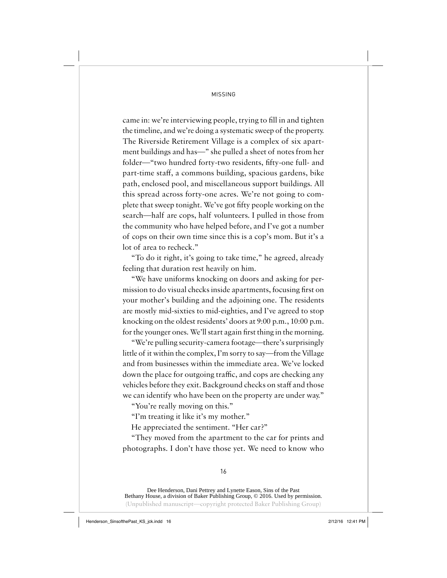came in: we're interviewing people, trying to fill in and tighten the timeline, and we're doing a systematic sweep of the property. The Riverside Retirement Village is a complex of six apartment buildings and has—" she pulled a sheet of notes from her folder—"two hundred forty-two residents, fifty-one full- and part-time staff, a commons building, spacious gardens, bike path, enclosed pool, and miscellaneous support buildings. All this spread across forty-one acres. We're not going to complete that sweep tonight. We've got fifty people working on the search—half are cops, half volunteers. I pulled in those from the community who have helped before, and I've got a number of cops on their own time since this is a cop's mom. But it's a lot of area to recheck."

"To do it right, it's going to take time," he agreed, already feeling that duration rest heavily on him.

"We have uniforms knocking on doors and asking for permission to do visual checks inside apartments, focusing first on your mother's building and the adjoining one. The residents are mostly mid-sixties to mid-eighties, and I've agreed to stop knocking on the oldest residents' doors at 9:00 p.m., 10:00 p.m. for the younger ones. We'll start again first thing in the morning.

"We're pulling security-camera footage—there's surprisingly little of it within the complex, I'm sorry to say—from the Village and from businesses within the immediate area. We've locked down the place for outgoing traffic, and cops are checking any vehicles before they exit. Background checks on staff and those we can identify who have been on the property are under way."

"You're really moving on this."

"I'm treating it like it's my mother."

He appreciated the sentiment. "Her car?"

"They moved from the apartment to the car for prints and photographs. I don't have those yet. We need to know who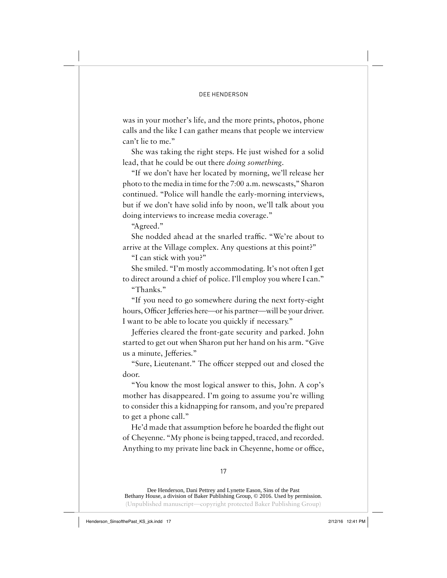was in your mother's life, and the more prints, photos, phone calls and the like I can gather means that people we interview can't lie to me."

She was taking the right steps. He just wished for a solid lead, that he could be out there *doing something*.

"If we don't have her located by morning, we'll release her photo to the media in time for the 7:00 a.m. newscasts," Sharon continued. "Police will handle the early-morning interviews, but if we don't have solid info by noon, we'll talk about you doing interviews to increase media coverage."

"Agreed."

She nodded ahead at the snarled traffic. "We're about to arrive at the Village complex. Any questions at this point?"

"I can stick with you?"

She smiled. "I'm mostly accommodating. It's not often I get to direct around a chief of police. I'll employ you where I can."

"Thanks."

"If you need to go somewhere during the next forty-eight hours, Officer Jefferies here—or his partner—will be your driver. I want to be able to locate you quickly if necessary."

Jefferies cleared the front-gate security and parked. John started to get out when Sharon put her hand on his arm. "Give us a minute, Jefferies."

"Sure, Lieutenant." The officer stepped out and closed the door.

"You know the most logical answer to this, John. A cop's mother has disappeared. I'm going to assume you're willing to consider this a kidnapping for ransom, and you're prepared to get a phone call."

He'd made that assumption before he boarded the flight out of Cheyenne. "My phone is being tapped, traced, and recorded. Anything to my private line back in Cheyenne, home or office,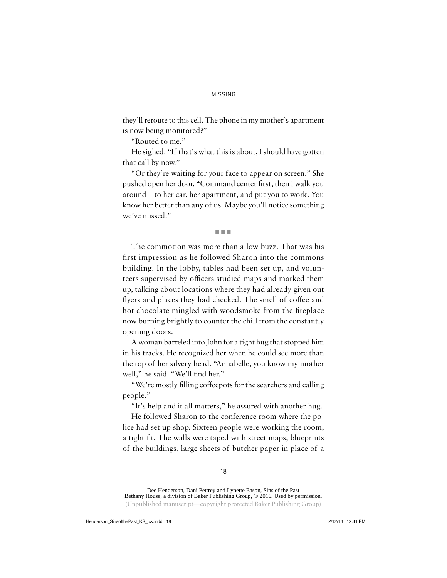they'll reroute to this cell. The phone in my mother's apartment is now being monitored?"

"Routed to me."

He sighed. "If that's what this is about, I should have gotten that call by now."

"Or they're waiting for your face to appear on screen." She pushed open her door. "Command center first, then I walk you around—to her car, her apartment, and put you to work. You know her better than any of us. Maybe you'll notice something we've missed."

R R R

The commotion was more than a low buzz. That was his first impression as he followed Sharon into the commons building. In the lobby, tables had been set up, and volunteers supervised by officers studied maps and marked them up, talking about locations where they had already given out flyers and places they had checked. The smell of coffee and hot chocolate mingled with woodsmoke from the fireplace now burning brightly to counter the chill from the constantly opening doors.

A woman barreled into John for a tight hug that stopped him in his tracks. He recognized her when he could see more than the top of her silvery head. "Annabelle, you know my mother well," he said. "We'll find her."

"We're mostly filling coffeepots for the searchers and calling people."

"It's help and it all matters," he assured with another hug.

He followed Sharon to the conference room where the police had set up shop. Sixteen people were working the room, a tight fit. The walls were taped with street maps, blueprints of the buildings, large sheets of butcher paper in place of a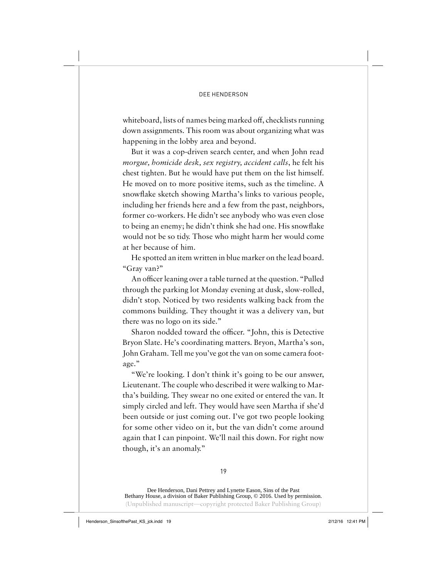whiteboard, lists of names being marked off, checklists running down assignments. This room was about organizing what was happening in the lobby area and beyond.

But it was a cop-driven search center, and when John read *morgue, homicide desk, sex registry, accident calls*, he felt his chest tighten. But he would have put them on the list himself. He moved on to more positive items, such as the timeline. A snowflake sketch showing Martha's links to various people, including her friends here and a few from the past, neighbors, former co-workers. He didn't see anybody who was even close to being an enemy; he didn't think she had one. His snowflake would not be so tidy. Those who might harm her would come at her because of him.

He spotted an item written in blue marker on the lead board. "Gray van?"

An officer leaning over a table turned at the question. "Pulled through the parking lot Monday evening at dusk, slow-rolled, didn't stop. Noticed by two residents walking back from the commons building. They thought it was a delivery van, but there was no logo on its side."

Sharon nodded toward the officer. "John, this is Detective Bryon Slate. He's coordinating matters. Bryon, Martha's son, John Graham. Tell me you've got the van on some camera footage."

"We're looking. I don't think it's going to be our answer, Lieutenant. The couple who described it were walking to Martha's building. They swear no one exited or entered the van. It simply circled and left. They would have seen Martha if she'd been outside or just coming out. I've got two people looking for some other video on it, but the van didn't come around again that I can pinpoint. We'll nail this down. For right now though, it's an anomaly."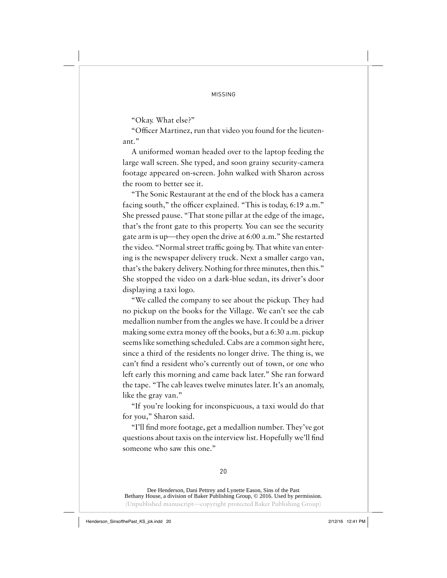"Okay. What else?"

"Officer Martinez, run that video you found for the lieutenant."

A uniformed woman headed over to the laptop feeding the large wall screen. She typed, and soon grainy security-camera footage appeared on-screen. John walked with Sharon across the room to better see it.

"The Sonic Restaurant at the end of the block has a camera facing south," the officer explained. "This is today, 6:19 a.m." She pressed pause. "That stone pillar at the edge of the image, that's the front gate to this property. You can see the security gate arm is up—they open the drive at 6:00 a.m." She restarted the video. "Normal street traffic going by. That white van entering is the newspaper delivery truck. Next a smaller cargo van, that's the bakery delivery. Nothing for three minutes, then this." She stopped the video on a dark-blue sedan, its driver's door displaying a taxi logo.

"We called the company to see about the pickup. They had no pickup on the books for the Village. We can't see the cab medallion number from the angles we have. It could be a driver making some extra money off the books, but a  $6:30$  a.m. pickup seems like something scheduled. Cabs are a common sight here, since a third of the residents no longer drive. The thing is, we can't find a resident who's currently out of town, or one who left early this morning and came back later." She ran forward the tape. "The cab leaves twelve minutes later. It's an anomaly, like the gray van."

"If you're looking for inconspicuous, a taxi would do that for you," Sharon said.

"I'll find more footage, get a medallion number. They've got questions about taxis on the interview list. Hopefully we'll find someone who saw this one."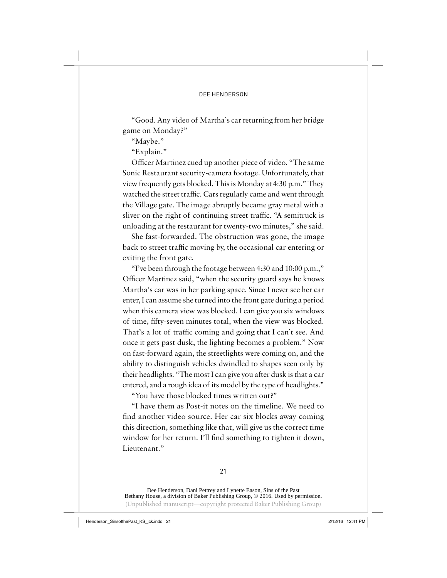"Good. Any video of Martha's car returning from her bridge game on Monday?"

"Maybe."

"Explain."

Officer Martinez cued up another piece of video. "The same Sonic Restaurant security-camera footage. Unfortunately, that view frequently gets blocked. This is Monday at 4:30 p.m." They watched the street traffic. Cars regularly came and went through the Village gate. The image abruptly became gray metal with a sliver on the right of continuing street traffic. "A semitruck is unloading at the restaurant for twenty-two minutes," she said.

She fast-forwarded. The obstruction was gone, the image back to street traffic moving by, the occasional car entering or exiting the front gate.

"I've been through the footage between 4:30 and 10:00 p.m.," Officer Martinez said, "when the security guard says he knows Martha's car was in her parking space. Since I never see her car enter, I can assume she turned into the front gate during a period when this camera view was blocked. I can give you six windows of time, fifty-seven minutes total, when the view was blocked. That's a lot of traffic coming and going that I can't see. And once it gets past dusk, the lighting becomes a problem." Now on fast-forward again, the streetlights were coming on, and the ability to distinguish vehicles dwindled to shapes seen only by their headlights. "The most I can give you after dusk is that a car entered, and a rough idea of its model by the type of headlights."

"You have those blocked times written out?"

"I have them as Post-it notes on the timeline. We need to find another video source. Her car six blocks away coming this direction, something like that, will give us the correct time window for her return. I'll find something to tighten it down, Lieutenant."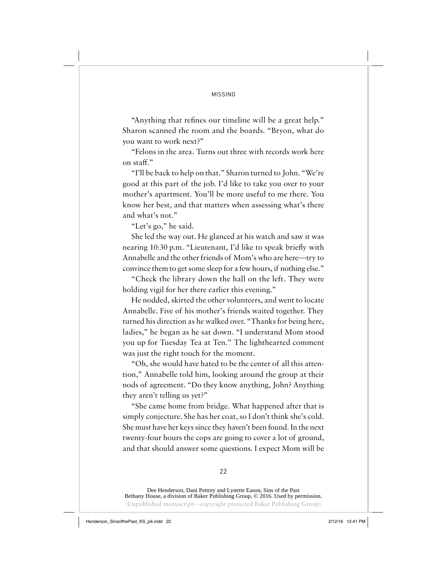"Anything that refines our timeline will be a great help." Sharon scanned the room and the boards. "Bryon, what do you want to work next?"

"Felons in the area. Turns out three with records work here on staff."

"I'll be back to help on that." Sharon turned to John. "We're good at this part of the job. I'd like to take you over to your mother's apartment. You'll be more useful to me there. You know her best, and that matters when assessing what's there and what's not."

"Let's go," he said.

She led the way out. He glanced at his watch and saw it was nearing 10:30 p.m. "Lieutenant, I'd like to speak briefly with Annabelle and the other friends of Mom's who are here—try to convince them to get some sleep for a few hours, if nothing else."

"Check the library down the hall on the left. They were holding vigil for her there earlier this evening."

He nodded, skirted the other volunteers, and went to locate Annabelle. Five of his mother's friends waited together. They turned his direction as he walked over. "Thanks for being here, ladies," he began as he sat down. "I understand Mom stood you up for Tuesday Tea at Ten." The lighthearted comment was just the right touch for the moment.

"Oh, she would have hated to be the center of all this attention," Annabelle told him, looking around the group at their nods of agreement. "Do they know anything, John? Anything they aren't telling us yet?"

"She came home from bridge. What happened after that is simply conjecture. She has her coat, so I don't think she's cold. She must have her keys since they haven't been found. In the next twenty-four hours the cops are going to cover a lot of ground, and that should answer some questions. I expect Mom will be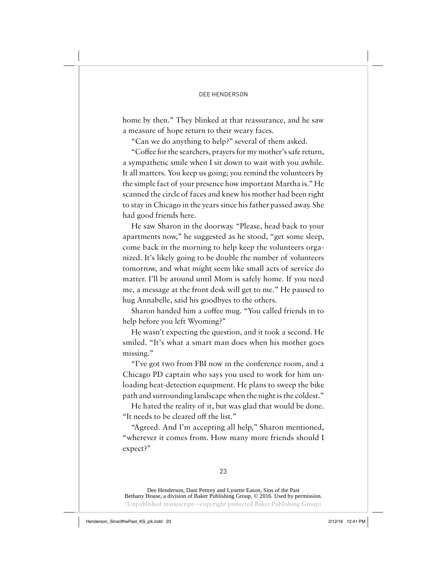home by then." They blinked at that reassurance, and he saw a measure of hope return to their weary faces.

"Can we do anything to help?" several of them asked.

"Coffee for the searchers, prayers for my mother's safe return, a sympathetic smile when I sit down to wait with you awhile. It all matters. You keep us going; you remind the volunteers by the simple fact of your presence how important Martha is." He scanned the circle of faces and knew his mother had been right to stay in Chicago in the years since his father passed away. She had good friends here.

He saw Sharon in the doorway. "Please, head back to your apartments now," he suggested as he stood, "get some sleep, come back in the morning to help keep the volunteers organized. It's likely going to be double the number of volunteers tomorrow, and what might seem like small acts of service do matter. I'll be around until Mom is safely home. If you need me, a message at the front desk will get to me." He paused to hug Annabelle, said his goodbyes to the others.

Sharon handed him a coffee mug. "You called friends in to help before you left Wyoming?"

He wasn't expecting the question, and it took a second. He smiled. "It's what a smart man does when his mother goes missing."

"I've got two from FBI now in the conference room, and a Chicago PD captain who says you used to work for him unloading heat-detection equipment. He plans to sweep the bike path and surrounding landscape when the night is the coldest."

He hated the reality of it, but was glad that would be done. "It needs to be cleared off the list."

"Agreed. And I'm accepting all help," Sharon mentioned, "wherever it comes from. How many more friends should I expect?"

<sup>(</sup>Unpublished manuscript—copyright protected Baker Publishing Group) Dee Henderson, Dani Pettrey and Lynette Eason, Sins of the Past Bethany House, a division of Baker Publishing Group, © 2016. Used by permission.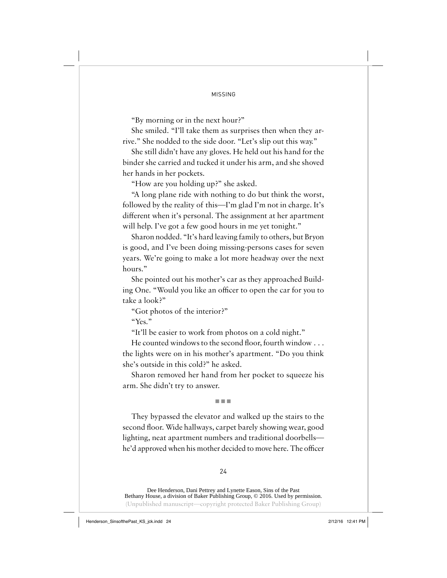"By morning or in the next hour?"

She smiled. "I'll take them as surprises then when they arrive." She nodded to the side door. "Let's slip out this way."

She still didn't have any gloves. He held out his hand for the binder she carried and tucked it under his arm, and she shoved her hands in her pockets.

"How are you holding up?" she asked.

"A long plane ride with nothing to do but think the worst, followed by the reality of this—I'm glad I'm not in charge. It's different when it's personal. The assignment at her apartment will help. I've got a few good hours in me yet tonight."

Sharon nodded. "It's hard leaving family to others, but Bryon is good, and I've been doing missing-persons cases for seven years. We're going to make a lot more headway over the next hours."

She pointed out his mother's car as they approached Building One. "Would you like an officer to open the car for you to take a look?"

"Got photos of the interior?"

"Yes."

"It'll be easier to work from photos on a cold night."

He counted windows to the second floor, fourth window . . . the lights were on in his mother's apartment. "Do you think she's outside in this cold?" he asked.

Sharon removed her hand from her pocket to squeeze his arm. She didn't try to answer.

R R R

They bypassed the elevator and walked up the stairs to the second floor. Wide hallways, carpet barely showing wear, good lighting, neat apartment numbers and traditional doorbells he'd approved when his mother decided to move here. The officer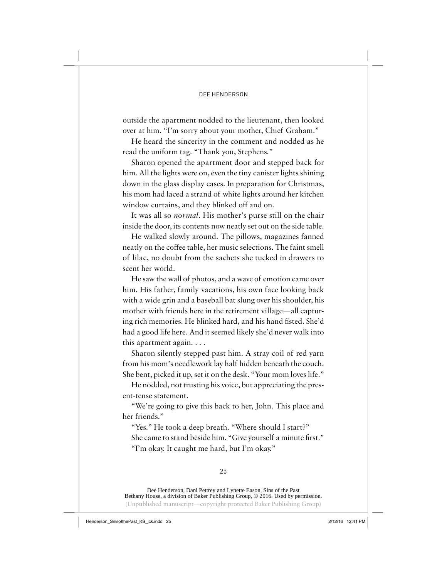outside the apartment nodded to the lieutenant, then looked over at him. "I'm sorry about your mother, Chief Graham."

He heard the sincerity in the comment and nodded as he read the uniform tag. "Thank you, Stephens."

Sharon opened the apartment door and stepped back for him. All the lights were on, even the tiny canister lights shining down in the glass display cases. In preparation for Christmas, his mom had laced a strand of white lights around her kitchen window curtains, and they blinked off and on.

It was all so *normal*. His mother's purse still on the chair inside the door, its contents now neatly set out on the side table.

He walked slowly around. The pillows, magazines fanned neatly on the coffee table, her music selections. The faint smell of lilac, no doubt from the sachets she tucked in drawers to scent her world.

He saw the wall of photos, and a wave of emotion came over him. His father, family vacations, his own face looking back with a wide grin and a baseball bat slung over his shoulder, his mother with friends here in the retirement village—all capturing rich memories. He blinked hard, and his hand fisted. She'd had a good life here. And it seemed likely she'd never walk into this apartment again. . . .

Sharon silently stepped past him. A stray coil of red yarn from his mom's needlework lay half hidden beneath the couch. She bent, picked it up, set it on the desk. "Your mom loves life."

He nodded, not trusting his voice, but appreciating the present-tense statement.

"We're going to give this back to her, John. This place and her friends."

"Yes." He took a deep breath. "Where should I start?" She came to stand beside him. "Give yourself a minute first." "I'm okay. It caught me hard, but I'm okay."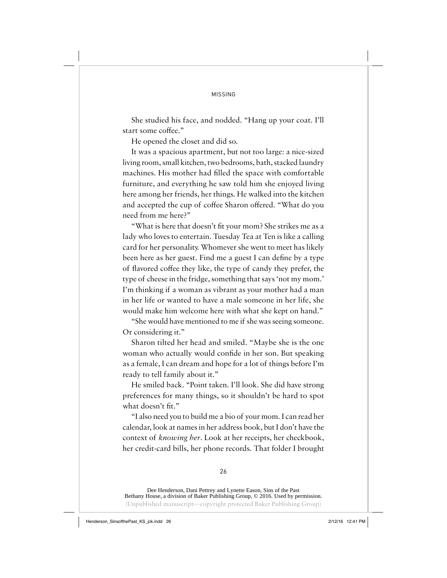She studied his face, and nodded. "Hang up your coat. I'll start some coffee."

He opened the closet and did so.

It was a spacious apartment, but not too large: a nice-sized living room, small kitchen, two bedrooms, bath, stacked laundry machines. His mother had filled the space with comfortable furniture, and everything he saw told him she enjoyed living here among her friends, her things. He walked into the kitchen and accepted the cup of coffee Sharon offered. "What do you need from me here?"

"What is here that doesn't fit your mom? She strikes me as a lady who loves to entertain. Tuesday Tea at Ten is like a calling card for her personality. Whomever she went to meet has likely been here as her guest. Find me a guest I can define by a type of flavored coffee they like, the type of candy they prefer, the type of cheese in the fridge, something that says 'not my mom.' I'm thinking if a woman as vibrant as your mother had a man in her life or wanted to have a male someone in her life, she would make him welcome here with what she kept on hand."

"She would have mentioned to me if she was seeing someone. Or considering it."

Sharon tilted her head and smiled. "Maybe she is the one woman who actually would confide in her son. But speaking as a female, I can dream and hope for a lot of things before I'm ready to tell family about it."

He smiled back. "Point taken. I'll look. She did have strong preferences for many things, so it shouldn't be hard to spot what doesn't fit."

"I also need you to build me a bio of your mom. I can read her calendar, look at names in her address book, but I don't have the context of *knowing her*. Look at her receipts, her checkbook, her credit-card bills, her phone records. That folder I brought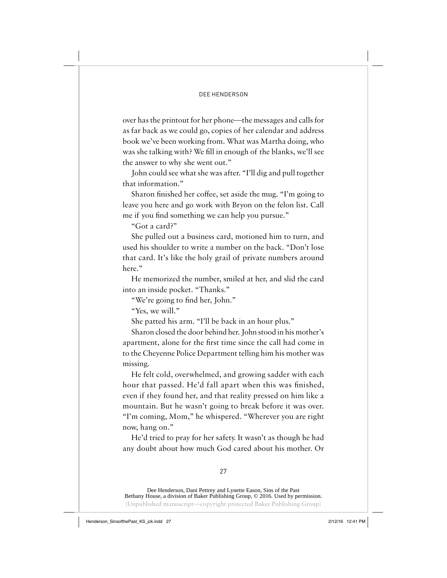over has the printout for her phone—the messages and calls for as far back as we could go, copies of her calendar and address book we've been working from. What was Martha doing, who was she talking with? We fill in enough of the blanks, we'll see the answer to why she went out."

John could see what she was after. "I'll dig and pull together that information."

Sharon finished her coffee, set aside the mug. "I'm going to leave you here and go work with Bryon on the felon list. Call me if you find something we can help you pursue."

"Got a card?"

She pulled out a business card, motioned him to turn, and used his shoulder to write a number on the back. "Don't lose that card. It's like the holy grail of private numbers around here."

He memorized the number, smiled at her, and slid the card into an inside pocket. "Thanks."

"We're going to find her, John."

"Yes, we will."

She patted his arm. "I'll be back in an hour plus."

Sharon closed the door behind her. John stood in his mother's apartment, alone for the first time since the call had come in to the Cheyenne Police Department telling him his mother was missing.

He felt cold, overwhelmed, and growing sadder with each hour that passed. He'd fall apart when this was finished, even if they found her, and that reality pressed on him like a mountain. But he wasn't going to break before it was over. "I'm coming, Mom," he whispered. "Wherever you are right now, hang on."

He'd tried to pray for her safety. It wasn't as though he had any doubt about how much God cared about his mother. Or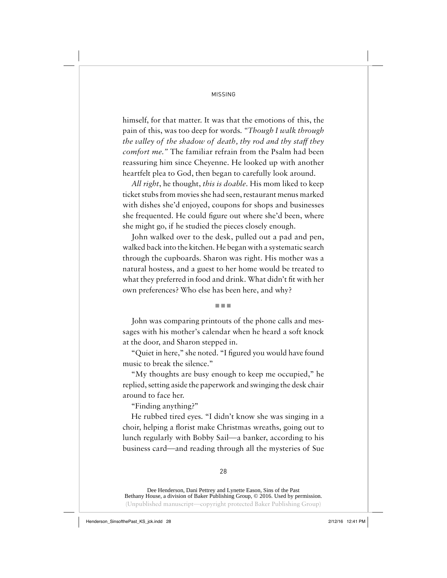himself, for that matter. It was that the emotions of this, the pain of this, was too deep for words. *"Though I walk through the valley of the shadow of death, thy rod and thy staff they comfort me."* The familiar refrain from the Psalm had been reassuring him since Cheyenne. He looked up with another heartfelt plea to God, then began to carefully look around.

*All right*, he thought, *this is doable*. His mom liked to keep ticket stubs from movies she had seen, restaurant menus marked with dishes she'd enjoyed, coupons for shops and businesses she frequented. He could figure out where she'd been, where she might go, if he studied the pieces closely enough.

John walked over to the desk, pulled out a pad and pen, walked back into the kitchen. He began with a systematic search through the cupboards. Sharon was right. His mother was a natural hostess, and a guest to her home would be treated to what they preferred in food and drink. What didn't fit with her own preferences? Who else has been here, and why?

R R R

John was comparing printouts of the phone calls and messages with his mother's calendar when he heard a soft knock at the door, and Sharon stepped in.

"Quiet in here," she noted. "I figured you would have found music to break the silence."

"My thoughts are busy enough to keep me occupied," he replied, setting aside the paperwork and swinging the desk chair around to face her.

"Finding anything?"

He rubbed tired eyes. "I didn't know she was singing in a choir, helping a florist make Christmas wreaths, going out to lunch regularly with Bobby Sail—a banker, according to his business card—and reading through all the mysteries of Sue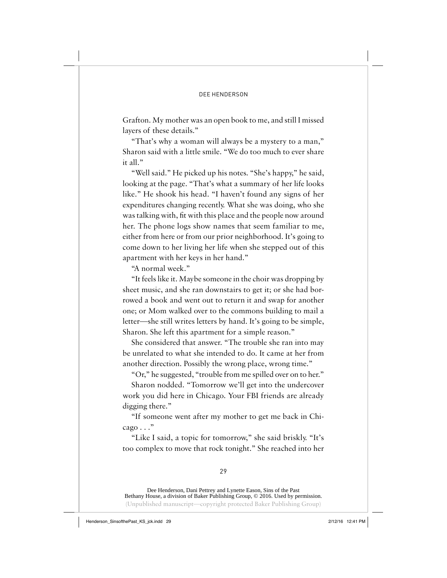Grafton. My mother was an open book to me, and still I missed layers of these details."

"That's why a woman will always be a mystery to a man," Sharon said with a little smile. "We do too much to ever share it all."

"Well said." He picked up his notes. "She's happy," he said, looking at the page. "That's what a summary of her life looks like." He shook his head. "I haven't found any signs of her expenditures changing recently. What she was doing, who she was talking with, fit with this place and the people now around her. The phone logs show names that seem familiar to me, either from here or from our prior neighborhood. It's going to come down to her living her life when she stepped out of this apartment with her keys in her hand."

"A normal week."

"It feels like it. Maybe someone in the choir was dropping by sheet music, and she ran downstairs to get it; or she had borrowed a book and went out to return it and swap for another one; or Mom walked over to the commons building to mail a letter—she still writes letters by hand. It's going to be simple, Sharon. She left this apartment for a simple reason."

She considered that answer. "The trouble she ran into may be unrelated to what she intended to do. It came at her from another direction. Possibly the wrong place, wrong time."

"Or," he suggested, "trouble from me spilled over on to her."

Sharon nodded. "Tomorrow we'll get into the undercover work you did here in Chicago. Your FBI friends are already digging there."

"If someone went after my mother to get me back in Chicago  $\ldots$ "

"Like I said, a topic for tomorrow," she said briskly. "It's too complex to move that rock tonight." She reached into her